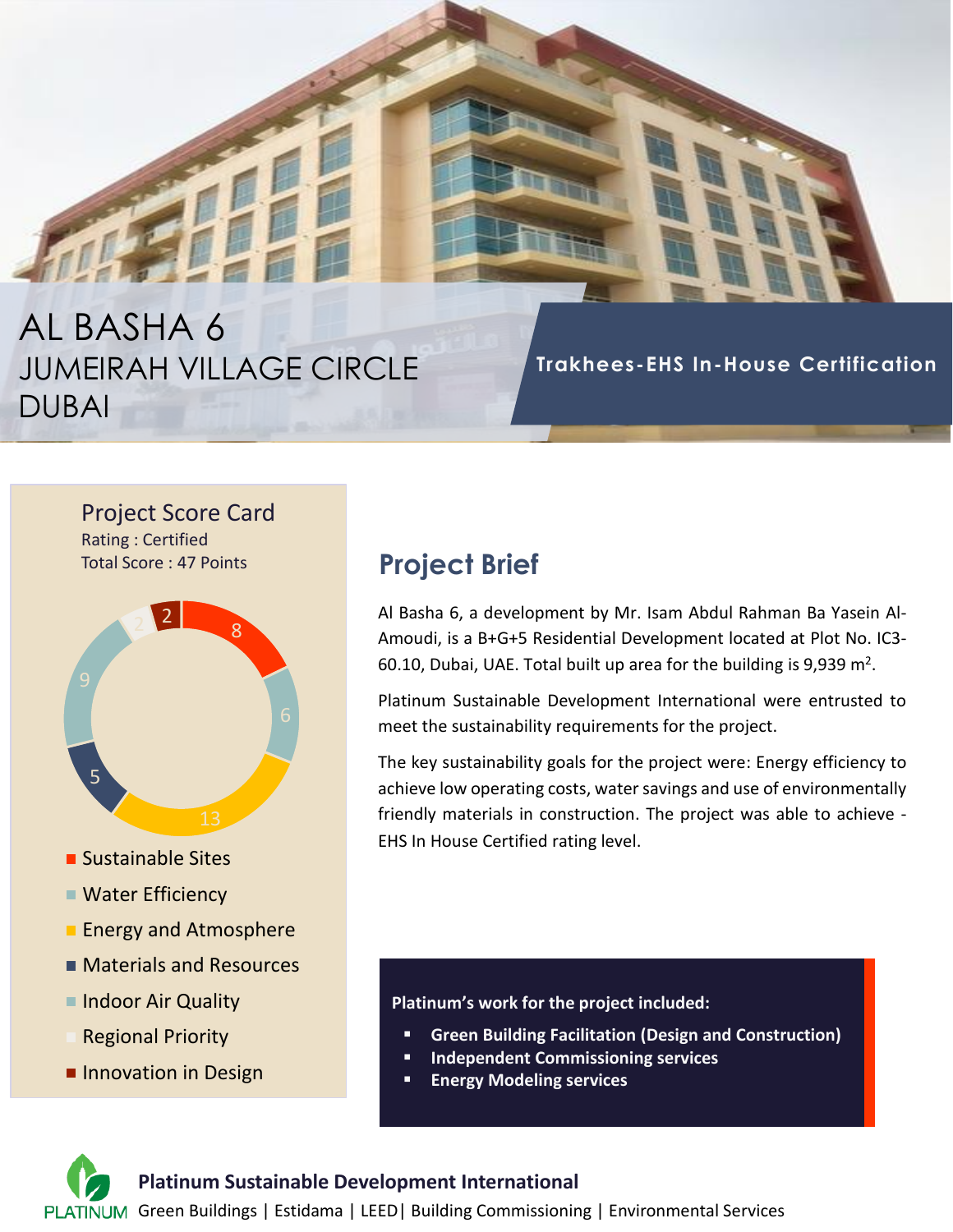# AL BASHA 6 JUMEIRAH VILLAGE CIRCLE DUBAI

**Trakhees-EHS In-House Certification**

#### Project Score Card Rating : Certified

Total Score : 47 Points



- **Sustainable Sites**
- Water Efficiency
- **Energy and Atmosphere**
- **Materials and Resources**
- Indoor Air Quality
- Regional Priority
- **Innovation in Design**

## **Project Brief**

Al Basha 6, a development by Mr. Isam Abdul Rahman Ba Yasein Al-Amoudi, is a B+G+5 Residential Development located at Plot No. IC3- 60.10, Dubai, UAE. Total built up area for the building is 9,939  $m^2$ .

Platinum Sustainable Development International were entrusted to meet the sustainability requirements for the project.

The key sustainability goals for the project were: Energy efficiency to achieve low operating costs, water savings and use of environmentally friendly materials in construction. The project was able to achieve - EHS In House Certified rating level.

#### **Platinum's work for the project included:**

- **Green Building Facilitation (Design and Construction)**
- **Independent Commissioning services**
- **Energy Modeling services**

#### **Platinum Sustainable Development International**

PLATINUM Green Buildings | Estidama | LEED | Building Commissioning | Environmental Services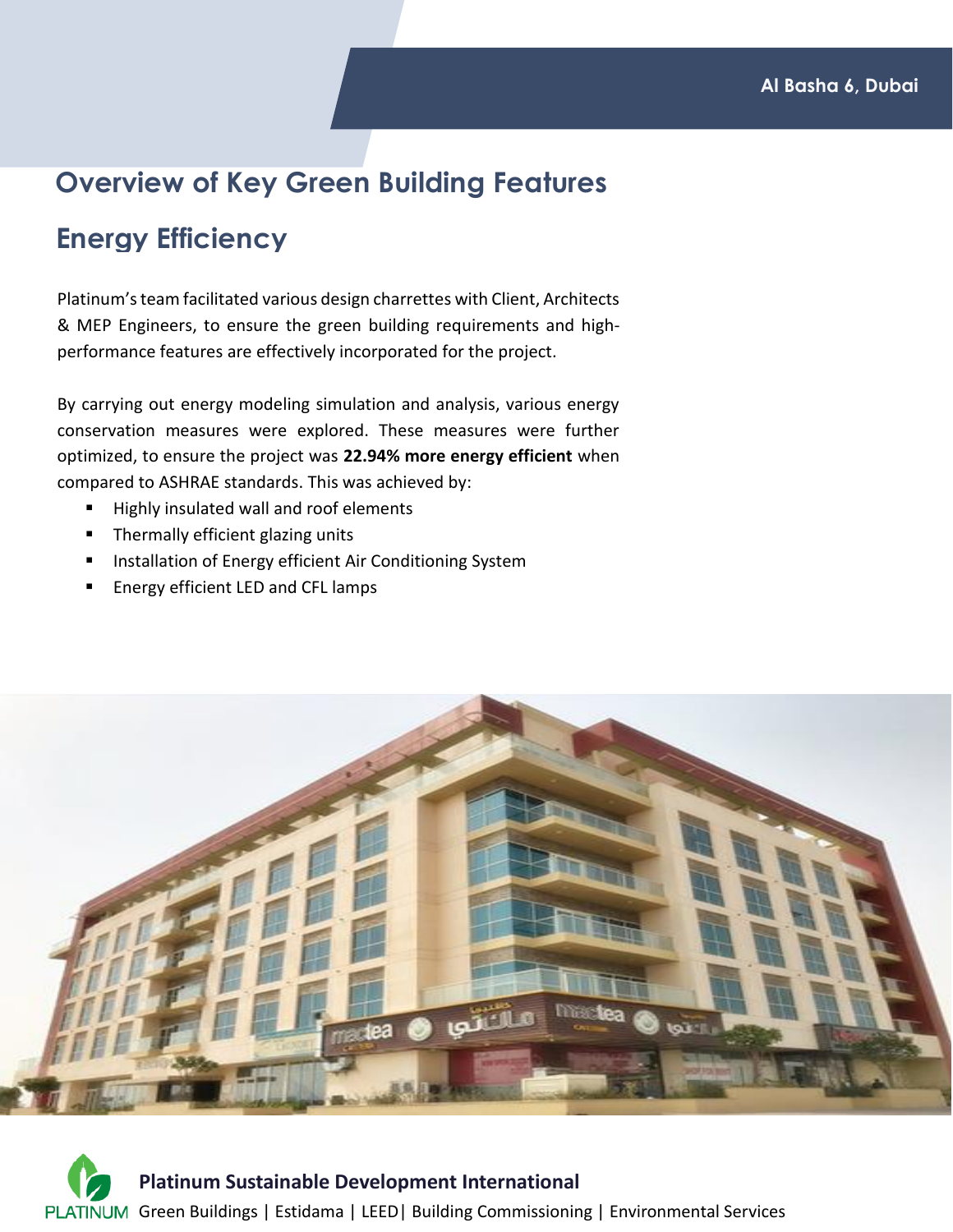### **Overview of Key Green Building Features**

### **Energy Efficiency**

Platinum's team facilitated various design charrettes with Client, Architects & MEP Engineers, to ensure the green building requirements and highperformance features are effectively incorporated for the project.

By carrying out energy modeling simulation and analysis, various energy conservation measures were explored. These measures were further optimized, to ensure the project was **22.94% more energy efficient** when compared to ASHRAE standards. This was achieved by:

- Highly insulated wall and roof elements
- Thermally efficient glazing units
- Installation of Energy efficient Air Conditioning System
- Energy efficient LED and CFL lamps



**Platinum Sustainable Development International** PLATINUM Green Buildings | Estidama | LEED | Building Commissioning | Environmental Services